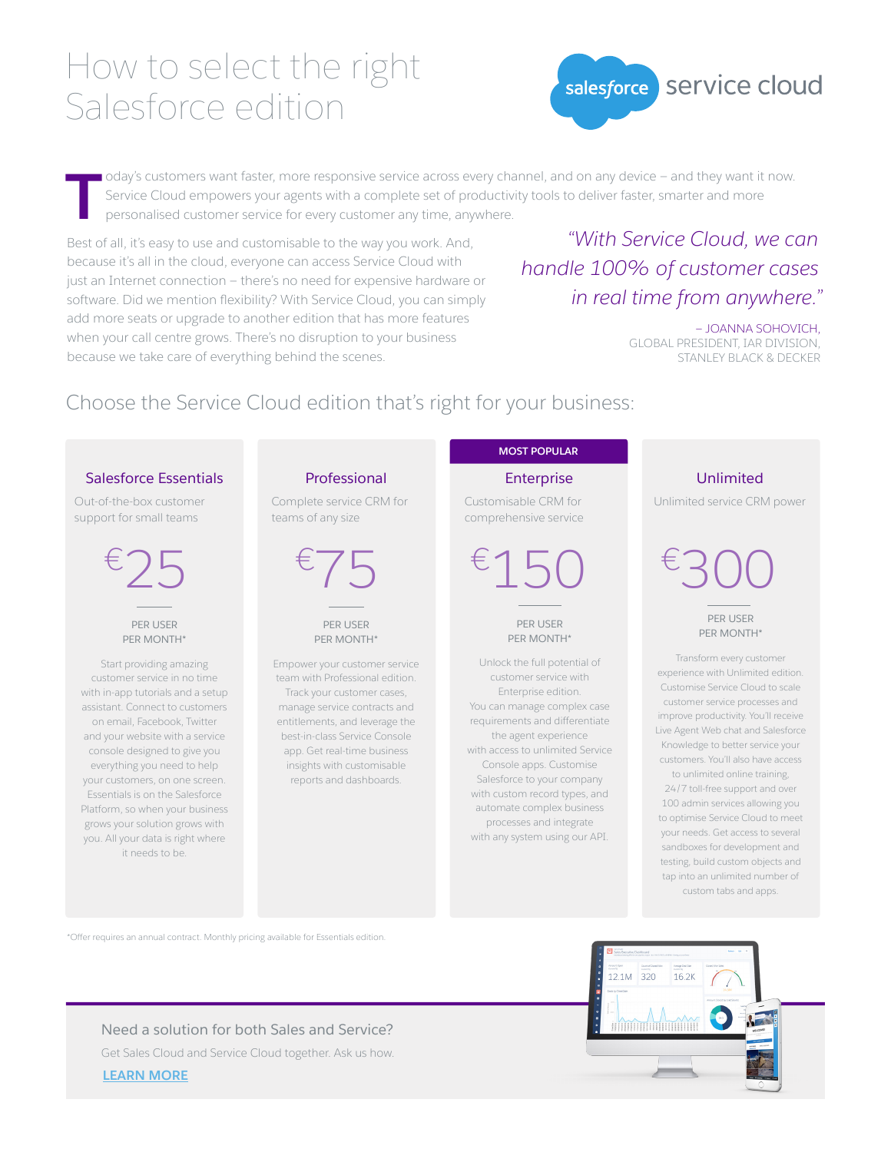# How to select the right Salesforce edition



oday's customers want faster, more responsive service across every channel, and on any device – and they want it now. Service Cloud empowers your agents with a complete set of productivity tools to deliver faster, smarter and more personalised customer service for every customer any time, anywhere. **T**

Best of all, it's easy to use and customisable to the way you work. And, because it's all in the cloud, everyone can access Service Cloud with just an Internet connection — there's no need for expensive hardware or software. Did we mention flexibility? With Service Cloud, you can simply add more seats or upgrade to another edition that has more features when your call centre grows. There's no disruption to your business because we take care of everything behind the scenes.

## *"With Service Cloud, we can handle 100% of customer cases in real time from anywhere."*

— JOANNA SOHOVICH, GLOBAL PRESIDENT, IAR DIVISION, STANLEY BLACK & DECKER

## Choose the Service Cloud edition that's right for your business:

#### Salesforce Essentials

Out-of-the-box customer support for small teams

> PER USER PER MONTH\*

Start providing amazing customer service in no time with in-app tutorials and a setup assistant. Connect to customers on email, Facebook, Twitter and your website with a service console designed to give you everything you need to help your customers, on one screen. Essentials is on the Salesforce Platform, so when your business grows your solution grows with you. All your data is right where it needs to be.

#### Professional

Complete service CRM for teams of any size

PER USER PER MONTH\*

Empower your customer service team with Professional edition. Track your customer cases, manage service contracts and entitlements, and leverage the best-in-class Service Console app. Get real-time business insights with customisable reports and dashboards.

### **MOST POPULAR**

Enterprise

Customisable CRM for comprehensive service

PER USER PER MONTH\*

Unlock the full potential of customer service with Enterprise edition. You can manage complex case requirements and differentiate the agent experience with access to unlimited Service Console apps. Customise Salesforce to your company with custom record types, and automate complex business processes and integrate with any system using our API.

#### Unlimited

Unlimited service CRM power

 $\epsilon$ 25  $\epsilon$ 75  $\epsilon$ 150  $\epsilon$ 300

PER USER PER MONTH\*

Transform every customer experience with Unlimited edition. Customise Service Cloud to scale customer service processes and improve productivity. You'll receive Live Agent Web chat and Salesforce Knowledge to better service your customers. You'll also have access to unlimited online training, 24/7 toll-free support and over 100 admin services allowing you to optimise Service Cloud to meet your needs. Get access to several sandboxes for development and testing, build custom objects and

tap into an unlimited number of custom tabs and apps.

\*Offer requires an annual contract. Monthly pricing available for Essentials edition.



**[LEARN MORE](http://www.salesforce.com/form/service-cloud/contact-me.jsp?d=70130000lxETAAY)** Need a solution for both Sales and Service? Get Sales Cloud and Service Cloud together. Ask us how.